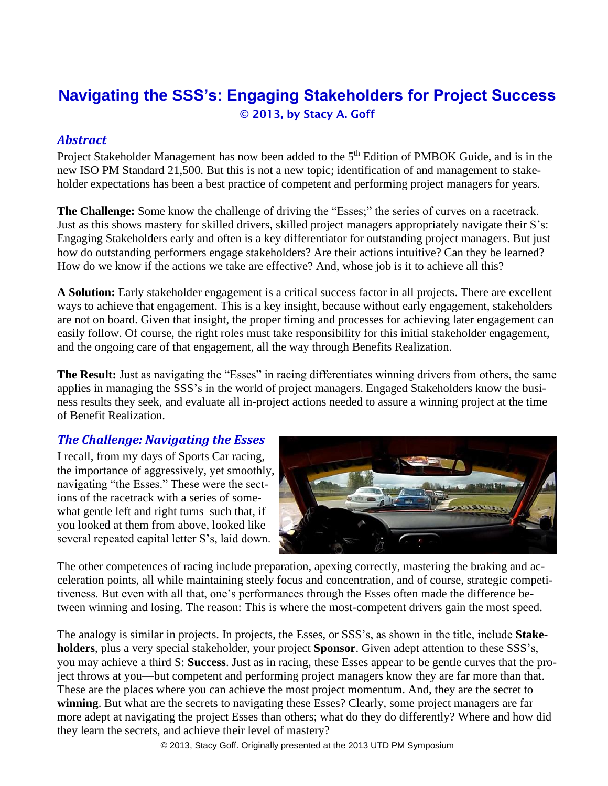# **Navigating the SSS's: Engaging Stakeholders for Project Success** © 2013, by Stacy A. Goff

#### *Abstract*

Project Stakeholder Management has now been added to the 5<sup>th</sup> Edition of PMBOK Guide, and is in the new ISO PM Standard 21,500. But this is not a new topic; identification of and management to stakeholder expectations has been a best practice of competent and performing project managers for years.

**The Challenge:** Some know the challenge of driving the "Esses;" the series of curves on a racetrack. Just as this shows mastery for skilled drivers, skilled project managers appropriately navigate their S's: Engaging Stakeholders early and often is a key differentiator for outstanding project managers. But just how do outstanding performers engage stakeholders? Are their actions intuitive? Can they be learned? How do we know if the actions we take are effective? And, whose job is it to achieve all this?

**A Solution:** Early stakeholder engagement is a critical success factor in all projects. There are excellent ways to achieve that engagement. This is a key insight, because without early engagement, stakeholders are not on board. Given that insight, the proper timing and processes for achieving later engagement can easily follow. Of course, the right roles must take responsibility for this initial stakeholder engagement, and the ongoing care of that engagement, all the way through Benefits Realization.

**The Result:** Just as navigating the "Esses" in racing differentiates winning drivers from others, the same applies in managing the SSS's in the world of project managers. Engaged Stakeholders know the business results they seek, and evaluate all in-project actions needed to assure a winning project at the time of Benefit Realization.

#### *The Challenge: Navigating the Esses*

I recall, from my days of Sports Car racing, the importance of aggressively, yet smoothly, navigating "the Esses." These were the sections of the racetrack with a series of somewhat gentle left and right turns–such that, if you looked at them from above, looked like several repeated capital letter S's, laid down.



The other competences of racing include preparation, apexing correctly, mastering the braking and acceleration points, all while maintaining steely focus and concentration, and of course, strategic competitiveness. But even with all that, one's performances through the Esses often made the difference between winning and losing. The reason: This is where the most-competent drivers gain the most speed.

The analogy is similar in projects. In projects, the Esses, or SSS's, as shown in the title, include **Stakeholders**, plus a very special stakeholder, your project **Sponsor**. Given adept attention to these SSS's, you may achieve a third S: **Success**. Just as in racing, these Esses appear to be gentle curves that the project throws at you—but competent and performing project managers know they are far more than that. These are the places where you can achieve the most project momentum. And, they are the secret to **winning**. But what are the secrets to navigating these Esses? Clearly, some project managers are far more adept at navigating the project Esses than others; what do they do differently? Where and how did they learn the secrets, and achieve their level of mastery?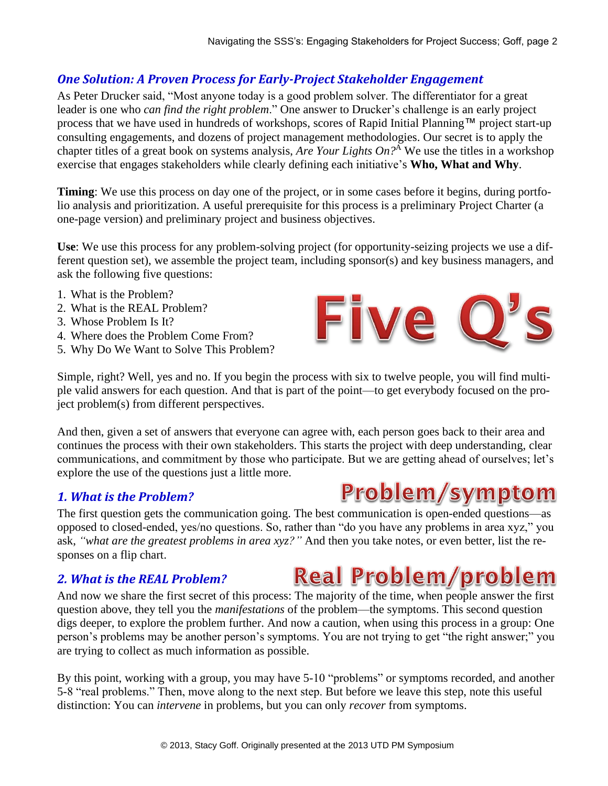# *One Solution: A Proven Process for Early-Project Stakeholder Engagement*

As Peter Drucker said, "Most anyone today is a good problem solver. The differentiator for a great leader is one who *can find the right problem*." One answer to Drucker's challenge is an early project process that we have used in hundreds of workshops, scores of Rapid Initial Planning™ project start-up consulting engagements, and dozens of project management methodologies. Our secret is to apply the chapter titles of a great book on systems analysis, *Are Your Lights On?*<sup>A</sup> We use the titles in a workshop exercise that engages stakeholders while clearly defining each initiative's **Who, What and Why**.

**Timing**: We use this process on day one of the project, or in some cases before it begins, during portfolio analysis and prioritization. A useful prerequisite for this process is a preliminary Project Charter (a one-page version) and preliminary project and business objectives.

**Use**: We use this process for any problem-solving project (for opportunity-seizing projects we use a different question set), we assemble the project team, including sponsor(s) and key business managers, and ask the following five questions:

- 1. What is the Problem?
- 2. What is the REAL Problem?
- 3. Whose Problem Is It?
- 4. Where does the Problem Come From?
- 5. Why Do We Want to Solve This Problem?

Simple, right? Well, yes and no. If you begin the process with six to twelve people, you will find multiple valid answers for each question. And that is part of the point—to get everybody focused on the project problem(s) from different perspectives.

And then, given a set of answers that everyone can agree with, each person goes back to their area and continues the process with their own stakeholders. This starts the project with deep understanding, clear communications, and commitment by those who participate. But we are getting ahead of ourselves; let's explore the use of the questions just a little more.

# *1. What is the Problem?*

The first question gets the communication going. The best communication is open-ended questions—as opposed to closed-ended, yes/no questions. So, rather than "do you have any problems in area xyz," you ask, *"what are the greatest problems in area xyz?"* And then you take notes, or even better, list the responses on a flip chart.

# *2. What is the REAL Problem?*

And now we share the first secret of this process: The majority of the time, when people answer the first question above, they tell you the *manifestations* of the problem—the symptoms. This second question digs deeper, to explore the problem further. And now a caution, when using this process in a group: One person's problems may be another person's symptoms. You are not trying to get "the right answer;" you are trying to collect as much information as possible.

By this point, working with a group, you may have 5-10 "problems" or symptoms recorded, and another 5-8 "real problems." Then, move along to the next step. But before we leave this step, note this useful distinction: You can *intervene* in problems, but you can only *recover* from symptoms.





**Real Problem/problem**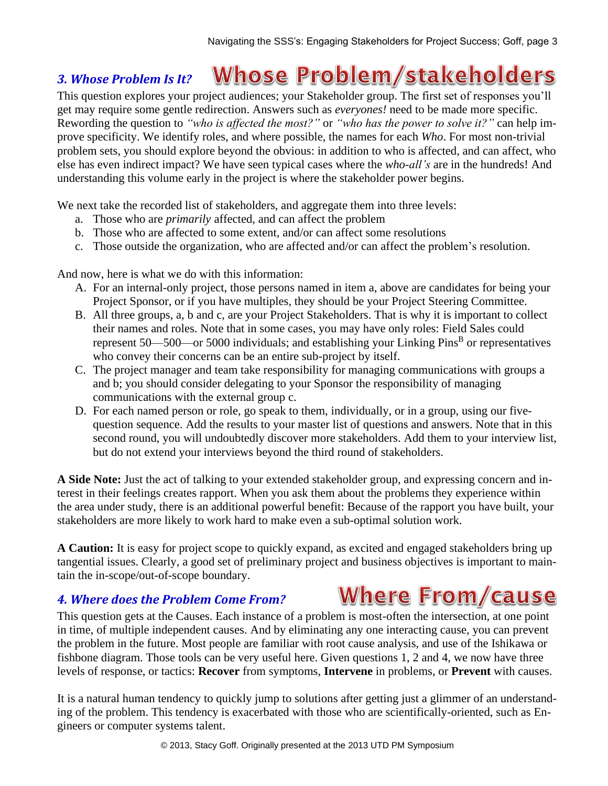#### **Whose Problem/stakeholders** *3. Whose Problem Is It?*

This question explores your project audiences; your Stakeholder group. The first set of responses you'll get may require some gentle redirection. Answers such as *everyones!* need to be made more specific. Rewording the question to *"who is affected the most?"* or *"who has the power to solve it?"* can help improve specificity. We identify roles, and where possible, the names for each *Who*. For most non-trivial problem sets, you should explore beyond the obvious: in addition to who is affected, and can affect, who else has even indirect impact? We have seen typical cases where the *who-all's* are in the hundreds! And understanding this volume early in the project is where the stakeholder power begins.

We next take the recorded list of stakeholders, and aggregate them into three levels:

- a. Those who are *primarily* affected, and can affect the problem
- b. Those who are affected to some extent, and/or can affect some resolutions
- c. Those outside the organization, who are affected and/or can affect the problem's resolution.

And now, here is what we do with this information:

- A. For an internal-only project, those persons named in item a, above are candidates for being your Project Sponsor, or if you have multiples, they should be your Project Steering Committee.
- B. All three groups, a, b and c, are your Project Stakeholders. That is why it is important to collect their names and roles. Note that in some cases, you may have only roles: Field Sales could represent  $50$ — $500$ —or  $5000$  individuals; and establishing your Linking Pins<sup>B</sup> or representatives who convey their concerns can be an entire sub-project by itself.
- C. The project manager and team take responsibility for managing communications with groups a and b; you should consider delegating to your Sponsor the responsibility of managing communications with the external group c.
- D. For each named person or role, go speak to them, individually, or in a group, using our fivequestion sequence. Add the results to your master list of questions and answers. Note that in this second round, you will undoubtedly discover more stakeholders. Add them to your interview list, but do not extend your interviews beyond the third round of stakeholders.

**A Side Note:** Just the act of talking to your extended stakeholder group, and expressing concern and interest in their feelings creates rapport. When you ask them about the problems they experience within the area under study, there is an additional powerful benefit: Because of the rapport you have built, your stakeholders are more likely to work hard to make even a sub-optimal solution work.

**A Caution:** It is easy for project scope to quickly expand, as excited and engaged stakeholders bring up tangential issues. Clearly, a good set of preliminary project and business objectives is important to maintain the in-scope/out-of-scope boundary.

# *4. Where does the Problem Come From?*

This question gets at the Causes. Each instance of a problem is most-often the intersection, at one point in time, of multiple independent causes. And by eliminating any one interacting cause, you can prevent the problem in the future. Most people are familiar with root cause analysis, and use of the Ishikawa or fishbone diagram. Those tools can be very useful here. Given questions 1, 2 and 4, we now have three levels of response, or tactics: **Recover** from symptoms, **Intervene** in problems, or **Prevent** with causes.

It is a natural human tendency to quickly jump to solutions after getting just a glimmer of an understanding of the problem. This tendency is exacerbated with those who are scientifically-oriented, such as Engineers or computer systems talent.

# **Where From/cause**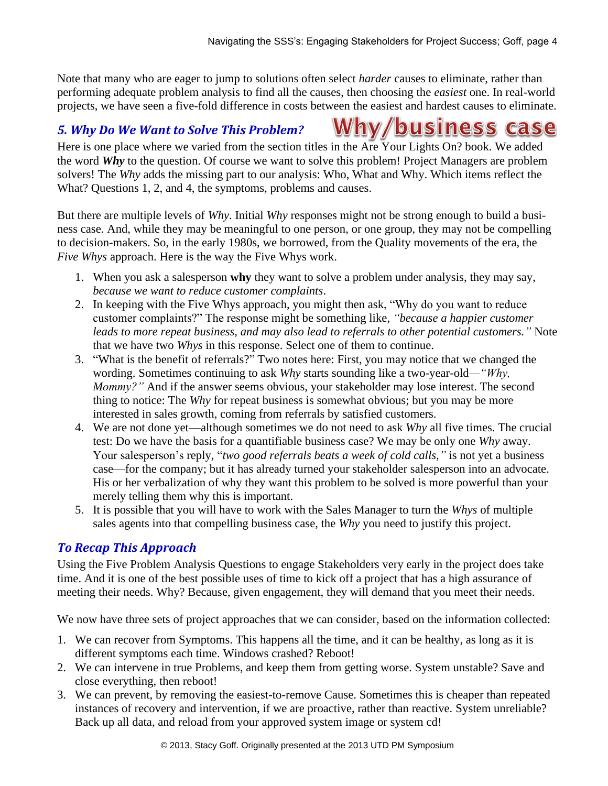**Why/business case** 

Note that many who are eager to jump to solutions often select *harder* causes to eliminate, rather than performing adequate problem analysis to find all the causes, then choosing the *easiest* one. In real-world projects, we have seen a five-fold difference in costs between the easiest and hardest causes to eliminate.

#### *5. Why Do We Want to Solve This Problem?*

Here is one place where we varied from the section titles in the Are Your Lights On? book. We added the word *Why* to the question. Of course we want to solve this problem! Project Managers are problem solvers! The *Why* adds the missing part to our analysis: Who, What and Why. Which items reflect the What? Questions 1, 2, and 4, the symptoms, problems and causes.

But there are multiple levels of *Why*. Initial *Why* responses might not be strong enough to build a business case. And, while they may be meaningful to one person, or one group, they may not be compelling to decision-makers. So, in the early 1980s, we borrowed, from the Quality movements of the era, the *Five Whys* approach. Here is the way the Five Whys work.

- 1. When you ask a salesperson **why** they want to solve a problem under analysis, they may say, *because we want to reduce customer complaints*.
- 2. In keeping with the Five Whys approach, you might then ask, "Why do you want to reduce customer complaints?" The response might be something like, *"because a happier customer leads to more repeat business, and may also lead to referrals to other potential customers."* Note that we have two *Whys* in this response. Select one of them to continue.
- 3. "What is the benefit of referrals?" Two notes here: First, you may notice that we changed the wording. Sometimes continuing to ask *Why* starts sounding like a two-year-old*—"Why, Mommy?"* And if the answer seems obvious, your stakeholder may lose interest. The second thing to notice: The *Why* for repeat business is somewhat obvious; but you may be more interested in sales growth, coming from referrals by satisfied customers.
- 4. We are not done yet—although sometimes we do not need to ask *Why* all five times. The crucial test: Do we have the basis for a quantifiable business case? We may be only one *Why* away. Your salesperson's reply, "*two good referrals beats a week of cold calls,"* is not yet a business case—for the company; but it has already turned your stakeholder salesperson into an advocate. His or her verbalization of why they want this problem to be solved is more powerful than your merely telling them why this is important.
- 5. It is possible that you will have to work with the Sales Manager to turn the *Whys* of multiple sales agents into that compelling business case, the *Why* you need to justify this project.

#### *To Recap This Approach*

Using the Five Problem Analysis Questions to engage Stakeholders very early in the project does take time. And it is one of the best possible uses of time to kick off a project that has a high assurance of meeting their needs. Why? Because, given engagement, they will demand that you meet their needs.

We now have three sets of project approaches that we can consider, based on the information collected:

- 1. We can recover from Symptoms. This happens all the time, and it can be healthy, as long as it is different symptoms each time. Windows crashed? Reboot!
- 2. We can intervene in true Problems, and keep them from getting worse. System unstable? Save and close everything, then reboot!
- 3. We can prevent, by removing the easiest-to-remove Cause. Sometimes this is cheaper than repeated instances of recovery and intervention, if we are proactive, rather than reactive. System unreliable? Back up all data, and reload from your approved system image or system cd!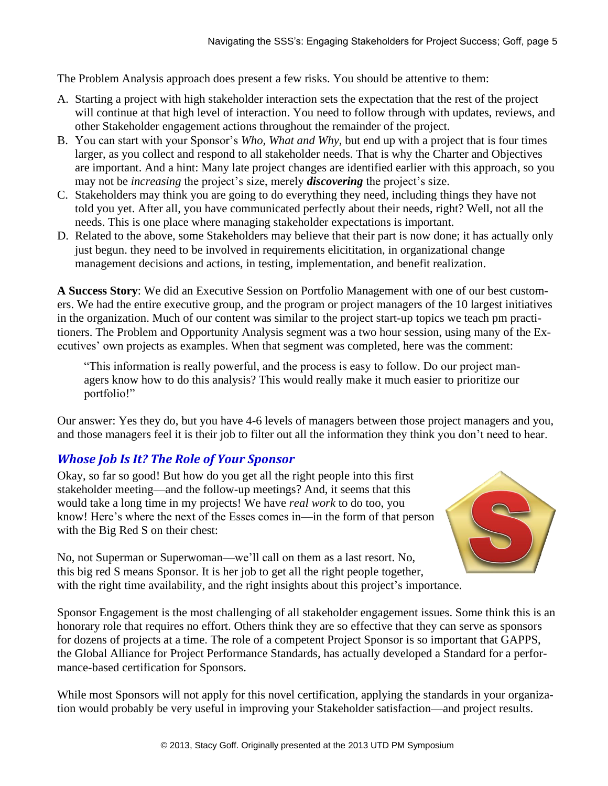The Problem Analysis approach does present a few risks. You should be attentive to them:

- A. Starting a project with high stakeholder interaction sets the expectation that the rest of the project will continue at that high level of interaction. You need to follow through with updates, reviews, and other Stakeholder engagement actions throughout the remainder of the project.
- B. You can start with your Sponsor's *Who, What and Why*, but end up with a project that is four times larger, as you collect and respond to all stakeholder needs. That is why the Charter and Objectives are important. And a hint: Many late project changes are identified earlier with this approach, so you may not be *increasing* the project's size, merely *discovering* the project's size.
- C. Stakeholders may think you are going to do everything they need, including things they have not told you yet. After all, you have communicated perfectly about their needs, right? Well, not all the needs. This is one place where managing stakeholder expectations is important.
- D. Related to the above, some Stakeholders may believe that their part is now done; it has actually only just begun. they need to be involved in requirements elicititation, in organizational change management decisions and actions, in testing, implementation, and benefit realization.

**A Success Story**: We did an Executive Session on Portfolio Management with one of our best customers. We had the entire executive group, and the program or project managers of the 10 largest initiatives in the organization. Much of our content was similar to the project start-up topics we teach pm practitioners. The Problem and Opportunity Analysis segment was a two hour session, using many of the Executives' own projects as examples. When that segment was completed, here was the comment:

"This information is really powerful, and the process is easy to follow. Do our project managers know how to do this analysis? This would really make it much easier to prioritize our portfolio!"

Our answer: Yes they do, but you have 4-6 levels of managers between those project managers and you, and those managers feel it is their job to filter out all the information they think you don't need to hear.

# *Whose Job Is It? The Role of Your Sponsor*

Okay, so far so good! But how do you get all the right people into this first stakeholder meeting—and the follow-up meetings? And, it seems that this would take a long time in my projects! We have *real work* to do too, you know! Here's where the next of the Esses comes in—in the form of that person with the Big Red S on their chest:



No, not Superman or Superwoman—we'll call on them as a last resort. No, this big red S means Sponsor. It is her job to get all the right people together, with the right time availability, and the right insights about this project's importance.

Sponsor Engagement is the most challenging of all stakeholder engagement issues. Some think this is an honorary role that requires no effort. Others think they are so effective that they can serve as sponsors for dozens of projects at a time. The role of a competent Project Sponsor is so important that GAPPS, the Global Alliance for Project Performance Standards, has actually developed a Standard for a performance-based certification for Sponsors.

While most Sponsors will not apply for this novel certification, applying the standards in your organization would probably be very useful in improving your Stakeholder satisfaction—and project results.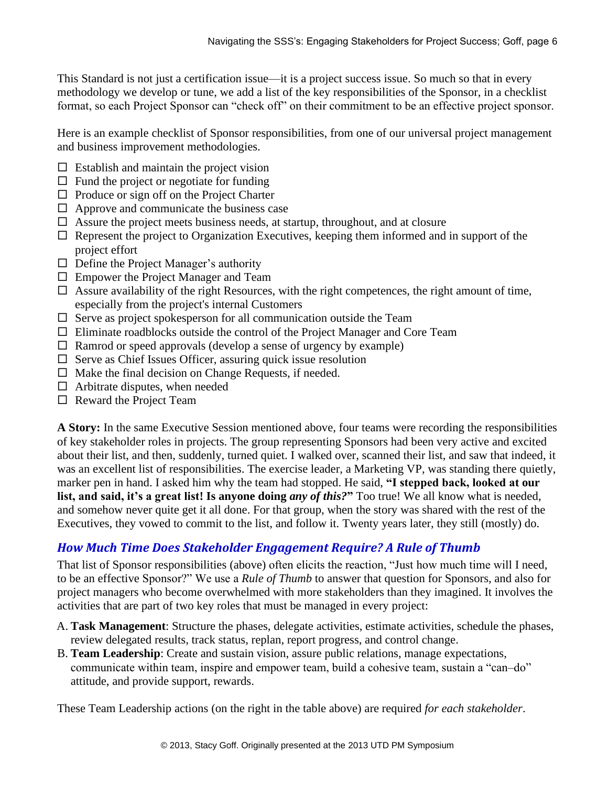This Standard is not just a certification issue—it is a project success issue. So much so that in every methodology we develop or tune, we add a list of the key responsibilities of the Sponsor, in a checklist format, so each Project Sponsor can "check off" on their commitment to be an effective project sponsor.

Here is an example checklist of Sponsor responsibilities, from one of our universal project management and business improvement methodologies.

- $\Box$  Establish and maintain the project vision
- $\Box$  Fund the project or negotiate for funding
- $\Box$  Produce or sign off on the Project Charter
- $\Box$  Approve and communicate the business case
- $\Box$  Assure the project meets business needs, at startup, throughout, and at closure
- $\Box$  Represent the project to Organization Executives, keeping them informed and in support of the project effort
- $\Box$  Define the Project Manager's authority
- $\Box$  Empower the Project Manager and Team
- $\Box$  Assure availability of the right Resources, with the right competences, the right amount of time, especially from the project's internal Customers
- $\square$  Serve as project spokesperson for all communication outside the Team
- $\Box$  Eliminate roadblocks outside the control of the Project Manager and Core Team
- $\Box$  Ramrod or speed approvals (develop a sense of urgency by example)
- $\square$  Serve as Chief Issues Officer, assuring quick issue resolution
- $\Box$  Make the final decision on Change Requests, if needed.
- $\Box$  Arbitrate disputes, when needed
- $\Box$  Reward the Project Team

**A Story:** In the same Executive Session mentioned above, four teams were recording the responsibilities of key stakeholder roles in projects. The group representing Sponsors had been very active and excited about their list, and then, suddenly, turned quiet. I walked over, scanned their list, and saw that indeed, it was an excellent list of responsibilities. The exercise leader, a Marketing VP, was standing there quietly, marker pen in hand. I asked him why the team had stopped. He said, **"I stepped back, looked at our list, and said, it's a great list! Is anyone doing** *any of this?***"** Too true! We all know what is needed, and somehow never quite get it all done. For that group, when the story was shared with the rest of the Executives, they vowed to commit to the list, and follow it. Twenty years later, they still (mostly) do.

# *How Much Time Does Stakeholder Engagement Require? A Rule of Thumb*

That list of Sponsor responsibilities (above) often elicits the reaction, "Just how much time will I need, to be an effective Sponsor?" We use a *Rule of Thumb* to answer that question for Sponsors, and also for project managers who become overwhelmed with more stakeholders than they imagined. It involves the activities that are part of two key roles that must be managed in every project:

- A. **Task Management**: Structure the phases, delegate activities, estimate activities, schedule the phases, review delegated results, track status, replan, report progress, and control change.
- B. **Team Leadership**: Create and sustain vision, assure public relations, manage expectations, communicate within team, inspire and empower team, build a cohesive team, sustain a "can–do" attitude, and provide support, rewards.

These Team Leadership actions (on the right in the table above) are required *for each stakeholder*.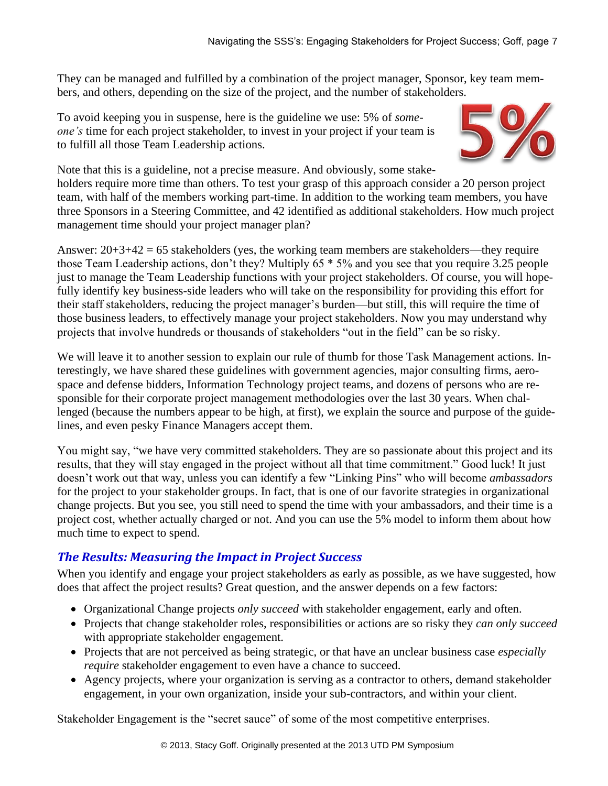They can be managed and fulfilled by a combination of the project manager, Sponsor, key team members, and others, depending on the size of the project, and the number of stakeholders.

To avoid keeping you in suspense, here is the guideline we use: 5% of *someone's* time for each project stakeholder, to invest in your project if your team is to fulfill all those Team Leadership actions.



Note that this is a guideline, not a precise measure. And obviously, some stakeholders require more time than others. To test your grasp of this approach consider a 20 person project team, with half of the members working part-time. In addition to the working team members, you have three Sponsors in a Steering Committee, and 42 identified as additional stakeholders. How much project management time should your project manager plan?

Answer: 20+3+42 = 65 stakeholders (yes, the working team members are stakeholders—they require those Team Leadership actions, don't they? Multiply 65 \* 5% and you see that you require 3.25 people just to manage the Team Leadership functions with your project stakeholders. Of course, you will hopefully identify key business-side leaders who will take on the responsibility for providing this effort for their staff stakeholders, reducing the project manager's burden—but still, this will require the time of those business leaders, to effectively manage your project stakeholders. Now you may understand why projects that involve hundreds or thousands of stakeholders "out in the field" can be so risky.

We will leave it to another session to explain our rule of thumb for those Task Management actions. Interestingly, we have shared these guidelines with government agencies, major consulting firms, aerospace and defense bidders, Information Technology project teams, and dozens of persons who are responsible for their corporate project management methodologies over the last 30 years. When challenged (because the numbers appear to be high, at first), we explain the source and purpose of the guidelines, and even pesky Finance Managers accept them.

You might say, "we have very committed stakeholders. They are so passionate about this project and its results, that they will stay engaged in the project without all that time commitment." Good luck! It just doesn't work out that way, unless you can identify a few "Linking Pins" who will become *ambassadors* for the project to your stakeholder groups. In fact, that is one of our favorite strategies in organizational change projects. But you see, you still need to spend the time with your ambassadors, and their time is a project cost, whether actually charged or not. And you can use the 5% model to inform them about how much time to expect to spend.

# *The Results: Measuring the Impact in Project Success*

When you identify and engage your project stakeholders as early as possible, as we have suggested, how does that affect the project results? Great question, and the answer depends on a few factors:

- Organizational Change projects *only succeed* with stakeholder engagement, early and often.
- Projects that change stakeholder roles, responsibilities or actions are so risky they *can only succeed* with appropriate stakeholder engagement.
- Projects that are not perceived as being strategic, or that have an unclear business case *especially require* stakeholder engagement to even have a chance to succeed.
- Agency projects, where your organization is serving as a contractor to others, demand stakeholder engagement, in your own organization, inside your sub-contractors, and within your client.

Stakeholder Engagement is the "secret sauce" of some of the most competitive enterprises.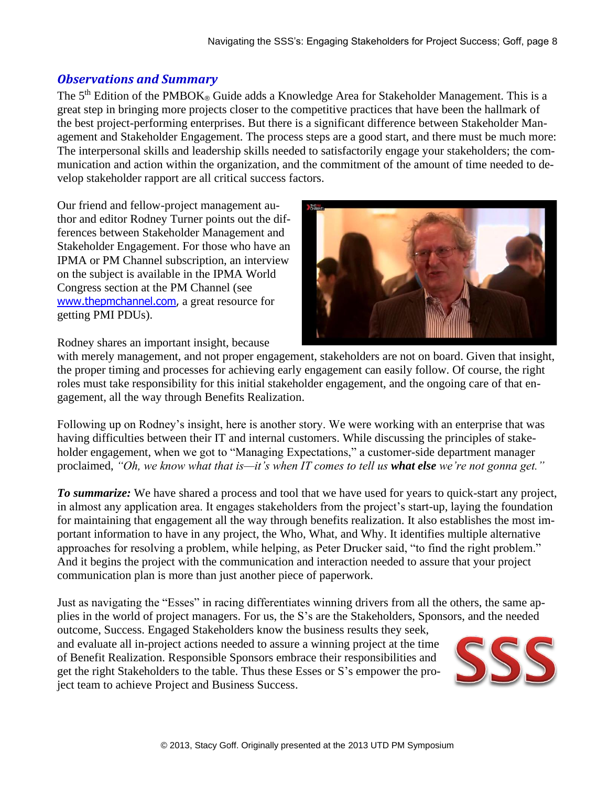#### *Observations and Summary*

The  $5<sup>th</sup>$  Edition of the PMBOK® Guide adds a Knowledge Area for Stakeholder Management. This is a great step in bringing more projects closer to the competitive practices that have been the hallmark of the best project-performing enterprises. But there is a significant difference between Stakeholder Management and Stakeholder Engagement. The process steps are a good start, and there must be much more: The interpersonal skills and leadership skills needed to satisfactorily engage your stakeholders; the communication and action within the organization, and the commitment of the amount of time needed to develop stakeholder rapport are all critical success factors.

Our friend and fellow-project management author and editor Rodney Turner points out the differences between Stakeholder Management and Stakeholder Engagement. For those who have an IPMA or PM Channel subscription, an interview on the subject is available in the IPMA World Congress section at the PM Channel (see [www.thepmchannel.com](http://www.thepmchannel.com/), a great resource for getting PMI PDUs).



Rodney shares an important insight, because

with merely management, and not proper engagement, stakeholders are not on board. Given that insight, the proper timing and processes for achieving early engagement can easily follow. Of course, the right roles must take responsibility for this initial stakeholder engagement, and the ongoing care of that engagement, all the way through Benefits Realization.

Following up on Rodney's insight, here is another story. We were working with an enterprise that was having difficulties between their IT and internal customers. While discussing the principles of stakeholder engagement, when we got to "Managing Expectations," a customer-side department manager proclaimed, *"Oh, we know what that is—it's when IT comes to tell us what else we're not gonna get."*

*To summarize:* We have shared a process and tool that we have used for years to quick-start any project, in almost any application area. It engages stakeholders from the project's start-up, laying the foundation for maintaining that engagement all the way through benefits realization. It also establishes the most important information to have in any project, the Who, What, and Why. It identifies multiple alternative approaches for resolving a problem, while helping, as Peter Drucker said, "to find the right problem." And it begins the project with the communication and interaction needed to assure that your project communication plan is more than just another piece of paperwork.

Just as navigating the "Esses" in racing differentiates winning drivers from all the others, the same applies in the world of project managers. For us, the S's are the Stakeholders, Sponsors, and the needed

outcome, Success. Engaged Stakeholders know the business results they seek, and evaluate all in-project actions needed to assure a winning project at the time of Benefit Realization. Responsible Sponsors embrace their responsibilities and get the right Stakeholders to the table. Thus these Esses or S's empower the project team to achieve Project and Business Success.